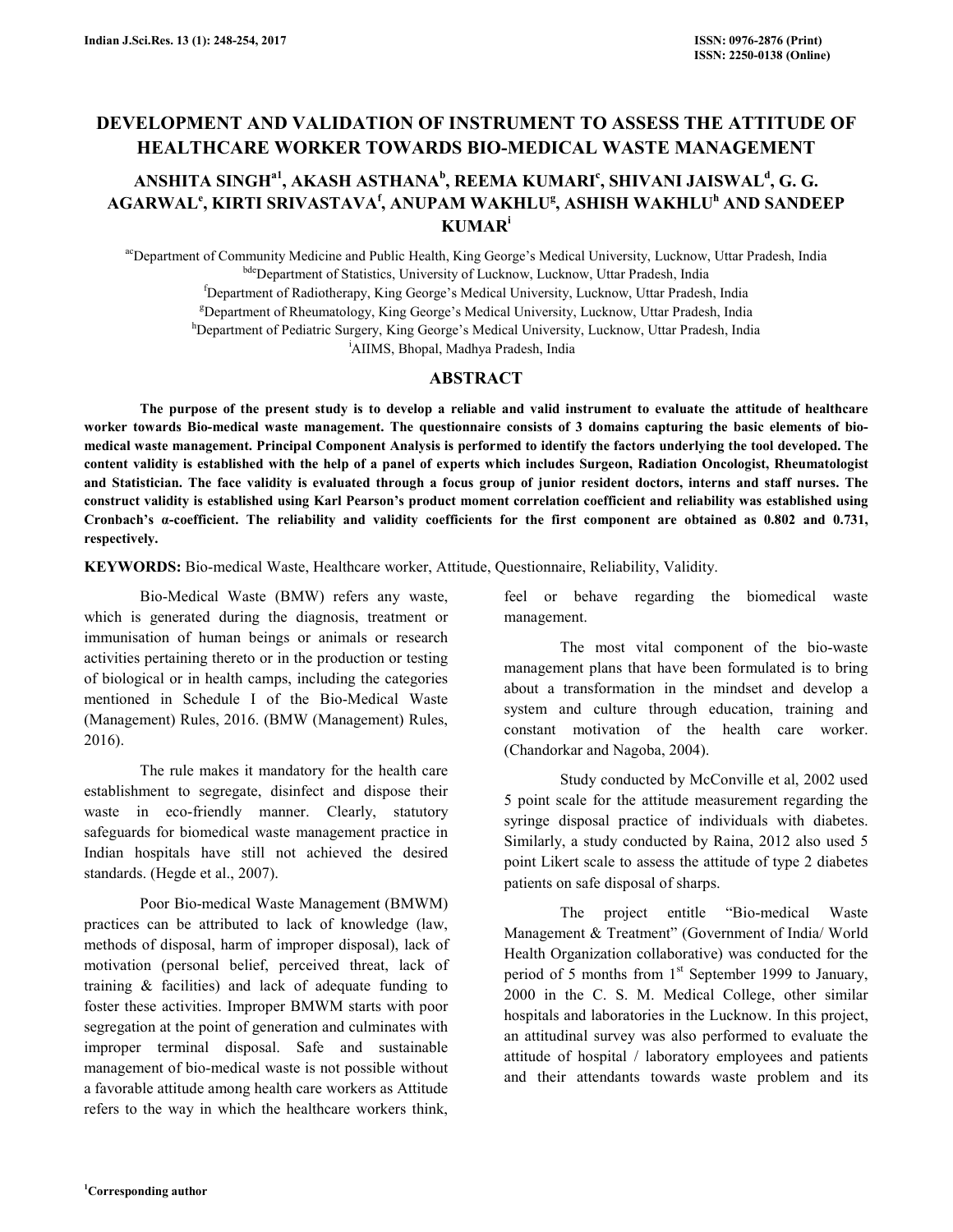# **DEVELOPMENT AND VALIDATION OF INSTRUMENT TO ASSESS THE ATTITUDE OF HEALTHCARE WORKER TOWARDS BIO-MEDICAL WASTE MANAGEMENT**

# **ANSHITA SINGHa1, AKASH ASTHANA<sup>b</sup> , REEMA KUMARI<sup>c</sup> , SHIVANI JAISWAL<sup>d</sup> , G. G. AGARWAL<sup>e</sup> , KIRTI SRIVASTAVA<sup>f</sup> , ANUPAM WAKHLU<sup>g</sup> , ASHISH WAKHLU<sup>h</sup> AND SANDEEP KUMAR<sup>i</sup>**

<sup>ac</sup>Department of Community Medicine and Public Health, King George's Medical University, Lucknow, Uttar Pradesh, India bdeDepartment of Statistics, University of Lucknow, Lucknow, Uttar Pradesh, India <sup>f</sup>Department of Radiotherapy, King George's Medical University, Lucknow, Uttar Pradesh, India <sup>g</sup>Department of Rheumatology, King George's Medical University, Lucknow, Uttar Pradesh, India hDepartment of Pediatric Surgery, King George's Medical University, Lucknow, Uttar Pradesh, India <sup>i</sup>AIIMS, Bhopal, Madhya Pradesh, India

# **ABSTRACT**

 **The purpose of the present study is to develop a reliable and valid instrument to evaluate the attitude of healthcare worker towards Bio-medical waste management. The questionnaire consists of 3 domains capturing the basic elements of biomedical waste management. Principal Component Analysis is performed to identify the factors underlying the tool developed. The content validity is established with the help of a panel of experts which includes Surgeon, Radiation Oncologist, Rheumatologist and Statistician. The face validity is evaluated through a focus group of junior resident doctors, interns and staff nurses. The construct validity is established using Karl Pearson's product moment correlation coefficient and reliability was established using Cronbach's α-coefficient. The reliability and validity coefficients for the first component are obtained as 0.802 and 0.731, respectively.** 

**KEYWORDS:** Bio-medical Waste, Healthcare worker, Attitude, Questionnaire, Reliability, Validity.

 Bio-Medical Waste (BMW) refers any waste, which is generated during the diagnosis, treatment or immunisation of human beings or animals or research activities pertaining thereto or in the production or testing of biological or in health camps, including the categories mentioned in Schedule I of the Bio-Medical Waste (Management) Rules, 2016. (BMW (Management) Rules, 2016).

 The rule makes it mandatory for the health care establishment to segregate, disinfect and dispose their waste in eco-friendly manner. Clearly, statutory safeguards for biomedical waste management practice in Indian hospitals have still not achieved the desired standards. (Hegde et al., 2007).

 Poor Bio-medical Waste Management (BMWM) practices can be attributed to lack of knowledge (law, methods of disposal, harm of improper disposal), lack of motivation (personal belief, perceived threat, lack of training & facilities) and lack of adequate funding to foster these activities. Improper BMWM starts with poor segregation at the point of generation and culminates with improper terminal disposal. Safe and sustainable management of bio-medical waste is not possible without a favorable attitude among health care workers as Attitude refers to the way in which the healthcare workers think,

feel or behave regarding the biomedical waste management.

 The most vital component of the bio-waste management plans that have been formulated is to bring about a transformation in the mindset and develop a system and culture through education, training and constant motivation of the health care worker. (Chandorkar and Nagoba, 2004).

 Study conducted by McConville et al, 2002 used 5 point scale for the attitude measurement regarding the syringe disposal practice of individuals with diabetes. Similarly, a study conducted by Raina, 2012 also used 5 point Likert scale to assess the attitude of type 2 diabetes patients on safe disposal of sharps.

 The project entitle "Bio-medical Waste Management & Treatment" (Government of India/ World Health Organization collaborative) was conducted for the period of 5 months from  $1<sup>st</sup>$  September 1999 to January, 2000 in the C. S. M. Medical College, other similar hospitals and laboratories in the Lucknow. In this project, an attitudinal survey was also performed to evaluate the attitude of hospital / laboratory employees and patients and their attendants towards waste problem and its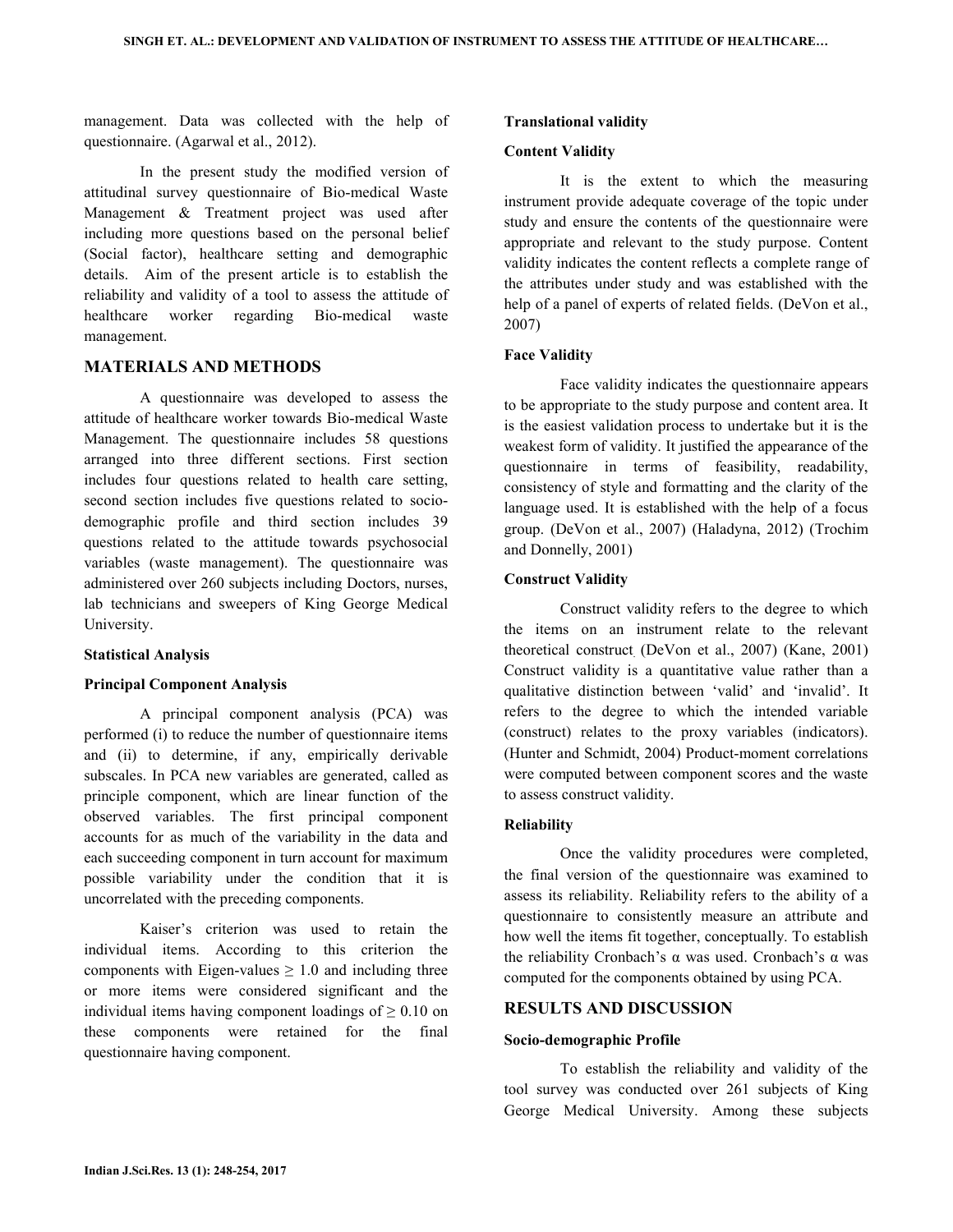management. Data was collected with the help of questionnaire. (Agarwal et al., 2012).

 In the present study the modified version of attitudinal survey questionnaire of Bio-medical Waste Management & Treatment project was used after including more questions based on the personal belief (Social factor), healthcare setting and demographic details. Aim of the present article is to establish the reliability and validity of a tool to assess the attitude of healthcare worker regarding Bio-medical waste management.

# **MATERIALS AND METHODS**

 A questionnaire was developed to assess the attitude of healthcare worker towards Bio-medical Waste Management. The questionnaire includes 58 questions arranged into three different sections. First section includes four questions related to health care setting, second section includes five questions related to sociodemographic profile and third section includes 39 questions related to the attitude towards psychosocial variables (waste management). The questionnaire was administered over 260 subjects including Doctors, nurses, lab technicians and sweepers of King George Medical University.

## **Statistical Analysis**

## **Principal Component Analysis**

 A principal component analysis (PCA) was performed (i) to reduce the number of questionnaire items and (ii) to determine, if any, empirically derivable subscales. In PCA new variables are generated, called as principle component, which are linear function of the observed variables. The first principal component accounts for as much of the variability in the data and each succeeding component in turn account for maximum possible variability under the condition that it is uncorrelated with the preceding components.

 Kaiser's criterion was used to retain the individual items. According to this criterion the components with Eigen-values  $\geq 1.0$  and including three or more items were considered significant and the individual items having component loadings of  $\geq 0.10$  on these components were retained for the final questionnaire having component.

## **Translational validity**

### **Content Validity**

 It is the extent to which the measuring instrument provide adequate coverage of the topic under study and ensure the contents of the questionnaire were appropriate and relevant to the study purpose. Content validity indicates the content reflects a complete range of the attributes under study and was established with the help of a panel of experts of related fields. (DeVon et al., 2007)

## **Face Validity**

 Face validity indicates the questionnaire appears to be appropriate to the study purpose and content area. It is the easiest validation process to undertake but it is the weakest form of validity. It justified the appearance of the questionnaire in terms of feasibility, readability, consistency of style and formatting and the clarity of the language used. It is established with the help of a focus group. (DeVon et al., 2007) (Haladyna, 2012) (Trochim and Donnelly, 2001)

## **Construct Validity**

 Construct validity refers to the degree to which the items on an instrument relate to the relevant theoretical construct. (DeVon et al., 2007) (Kane, 2001) Construct validity is a quantitative value rather than a qualitative distinction between 'valid' and 'invalid'. It refers to the degree to which the intended variable (construct) relates to the proxy variables (indicators). (Hunter and Schmidt, 2004) Product-moment correlations were computed between component scores and the waste to assess construct validity.

#### **Reliability**

 Once the validity procedures were completed, the final version of the questionnaire was examined to assess its reliability. Reliability refers to the ability of a questionnaire to consistently measure an attribute and how well the items fit together, conceptually. To establish the reliability Cronbach's α was used. Cronbach's α was computed for the components obtained by using PCA.

## **RESULTS AND DISCUSSION**

#### **Socio-demographic Profile**

 To establish the reliability and validity of the tool survey was conducted over 261 subjects of King George Medical University. Among these subjects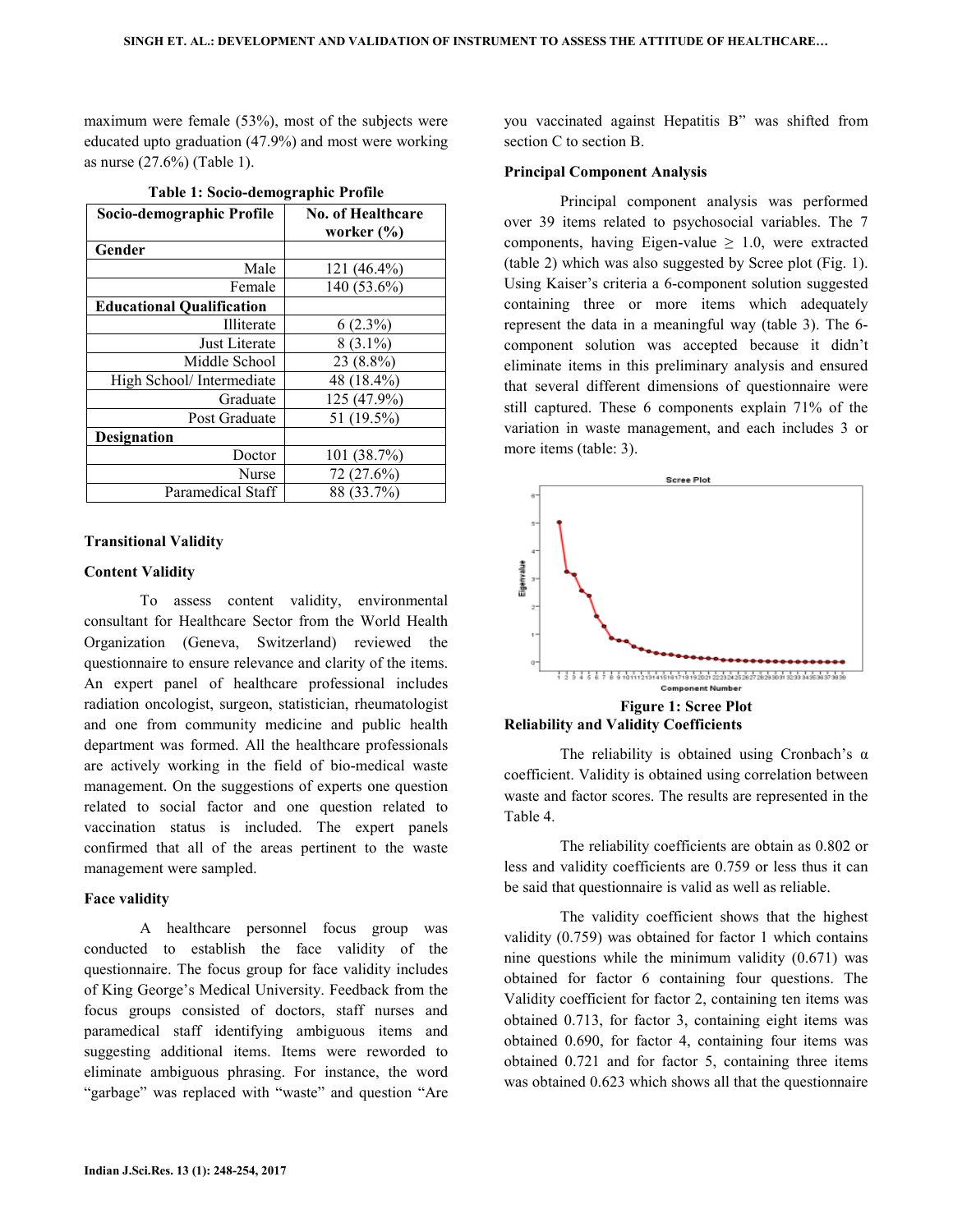maximum were female (53%), most of the subjects were educated upto graduation (47.9%) and most were working as nurse (27.6%) (Table 1).

| Socio-demographic Profile        | <b>No. of Healthcare</b><br>worker (%) |
|----------------------------------|----------------------------------------|
| Gender                           |                                        |
| Male                             | 121 (46.4%)                            |
| Female                           | 140 (53.6%)                            |
| <b>Educational Qualification</b> |                                        |
| Illiterate                       | $6(2.3\%)$                             |
| Just Literate                    | $8(3.1\%)$                             |
| Middle School                    | 23 (8.8%)                              |
| High School/Intermediate         | 48 (18.4%)                             |
| Graduate                         | 125 (47.9%)                            |
| Post Graduate                    | 51 (19.5%)                             |
| <b>Designation</b>               |                                        |
| Doctor                           | 101(38.7%)                             |
| Nurse                            | 72 (27.6%)                             |
| Paramedical Staff                | 88 (33.7%)                             |

**Table 1: Socio-demographic Profile**

## **Transitional Validity**

## **Content Validity**

 To assess content validity, environmental consultant for Healthcare Sector from the World Health Organization (Geneva, Switzerland) reviewed the questionnaire to ensure relevance and clarity of the items. An expert panel of healthcare professional includes radiation oncologist, surgeon, statistician, rheumatologist and one from community medicine and public health department was formed. All the healthcare professionals are actively working in the field of bio-medical waste management. On the suggestions of experts one question related to social factor and one question related to vaccination status is included. The expert panels confirmed that all of the areas pertinent to the waste management were sampled.

## **Face validity**

 A healthcare personnel focus group was conducted to establish the face validity of the questionnaire. The focus group for face validity includes of King George's Medical University. Feedback from the focus groups consisted of doctors, staff nurses and paramedical staff identifying ambiguous items and suggesting additional items. Items were reworded to eliminate ambiguous phrasing. For instance, the word "garbage" was replaced with "waste" and question "Are

you vaccinated against Hepatitis B" was shifted from section C to section B.

#### **Principal Component Analysis**

 Principal component analysis was performed over 39 items related to psychosocial variables. The 7 components, having Eigen-value  $\geq 1.0$ , were extracted (table 2) which was also suggested by Scree plot (Fig. 1). Using Kaiser's criteria a 6-component solution suggested containing three or more items which adequately represent the data in a meaningful way (table 3). The 6 component solution was accepted because it didn't eliminate items in this preliminary analysis and ensured that several different dimensions of questionnaire were still captured. These 6 components explain 71% of the variation in waste management, and each includes 3 or more items (table: 3).





The reliability is obtained using Cronbach's  $\alpha$ coefficient. Validity is obtained using correlation between waste and factor scores. The results are represented in the Table 4.

 The reliability coefficients are obtain as 0.802 or less and validity coefficients are 0.759 or less thus it can be said that questionnaire is valid as well as reliable.

The validity coefficient shows that the highest validity (0.759) was obtained for factor 1 which contains nine questions while the minimum validity (0.671) was obtained for factor 6 containing four questions. The Validity coefficient for factor 2, containing ten items was obtained 0.713, for factor 3, containing eight items was obtained 0.690, for factor 4, containing four items was obtained 0.721 and for factor 5, containing three items was obtained 0.623 which shows all that the questionnaire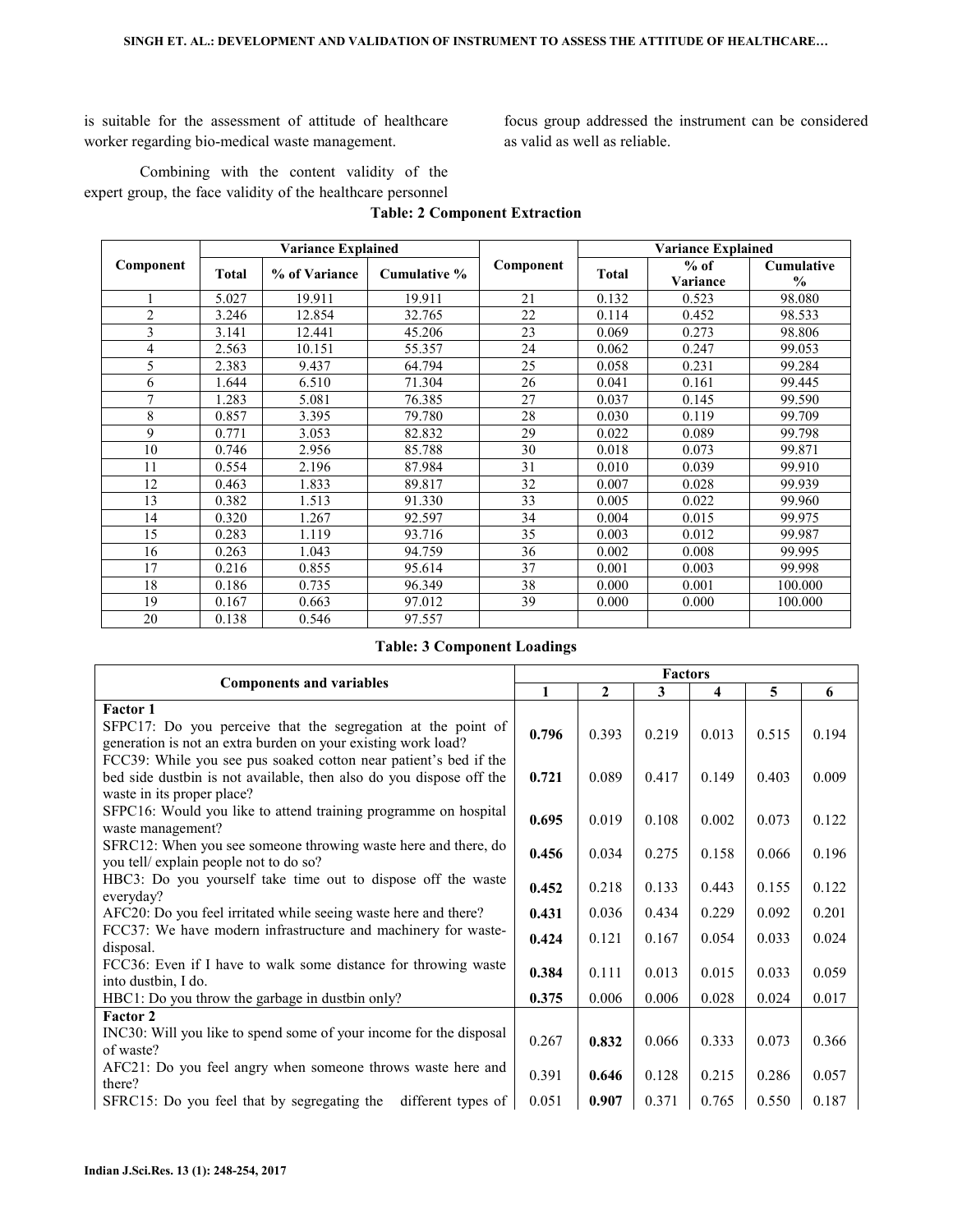is suitable for the assessment of attitude of healthcare worker regarding bio-medical waste management.

focus group addressed the instrument can be considered as valid as well as reliable.

 Combining with the content validity of the expert group, the face validity of the healthcare personnel

|                | <b>Variance Explained</b> |               |              |           | <b>Variance Explained</b> |                    |                             |  |
|----------------|---------------------------|---------------|--------------|-----------|---------------------------|--------------------|-----------------------------|--|
| Component      | <b>Total</b>              | % of Variance | Cumulative % | Component | <b>Total</b>              | $%$ of<br>Variance | Cumulative<br>$\frac{0}{0}$ |  |
|                | 5.027                     | 19.911        | 19.911       | 21        | 0.132                     | 0.523              | 98.080                      |  |
| $\overline{2}$ | 3.246                     | 12.854        | 32.765       | 22        | 0.114                     | 0.452              | 98.533                      |  |
| 3              | 3.141                     | 12.441        | 45.206       | 23        | 0.069                     | 0.273              | 98.806                      |  |
| $\overline{4}$ | 2.563                     | 10.151        | 55.357       | 24        | 0.062                     | 0.247              | 99.053                      |  |
| 5              | 2.383                     | 9.437         | 64.794       | 25        | 0.058                     | 0.231              | 99.284                      |  |
| 6              | 1.644                     | 6.510         | 71.304       | 26        | 0.041                     | 0.161              | 99.445                      |  |
| $\overline{7}$ | 1.283                     | 5.081         | 76.385       | 27        | 0.037                     | 0.145              | 99.590                      |  |
| 8              | 0.857                     | 3.395         | 79.780       | 28        | 0.030                     | 0.119              | 99.709                      |  |
| 9              | 0.771                     | 3.053         | 82.832       | 29        | 0.022                     | 0.089              | 99.798                      |  |
| 10             | 0.746                     | 2.956         | 85.788       | 30        | 0.018                     | 0.073              | 99.871                      |  |
| 11             | 0.554                     | 2.196         | 87.984       | 31        | 0.010                     | 0.039              | 99.910                      |  |
| 12             | 0.463                     | 1.833         | 89.817       | 32        | 0.007                     | 0.028              | 99.939                      |  |
| 13             | 0.382                     | 1.513         | 91.330       | 33        | 0.005                     | 0.022              | 99.960                      |  |
| 14             | 0.320                     | 1.267         | 92.597       | 34        | 0.004                     | 0.015              | 99.975                      |  |
| 15             | 0.283                     | 1.119         | 93.716       | 35        | 0.003                     | 0.012              | 99.987                      |  |
| 16             | 0.263                     | 1.043         | 94.759       | 36        | 0.002                     | 0.008              | 99.995                      |  |
| 17             | 0.216                     | 0.855         | 95.614       | 37        | 0.001                     | 0.003              | 99.998                      |  |
| 18             | 0.186                     | 0.735         | 96.349       | 38        | 0.000                     | 0.001              | 100.000                     |  |
| 19             | 0.167                     | 0.663         | 97.012       | 39        | 0.000                     | 0.000              | 100.000                     |  |
| 20             | 0.138                     | 0.546         | 97.557       |           |                           |                    |                             |  |

# **Table: 2 Component Extraction**

|  | <b>Table: 3 Component Loadings</b> |  |
|--|------------------------------------|--|
|--|------------------------------------|--|

|                                                                                                          |       | <b>Factors</b> |       |       |       |       |
|----------------------------------------------------------------------------------------------------------|-------|----------------|-------|-------|-------|-------|
| <b>Components and variables</b>                                                                          | 1     | $\mathbf{2}$   | 3     | 4     | 5     | 6     |
| <b>Factor 1</b>                                                                                          |       |                |       |       |       |       |
| SFPC17: Do you perceive that the segregation at the point of                                             | 0.796 | 0.393          | 0.219 | 0.013 | 0.515 | 0.194 |
| generation is not an extra burden on your existing work load?                                            |       |                |       |       |       |       |
| FCC39: While you see pus soaked cotton near patient's bed if the                                         |       |                |       |       |       |       |
| bed side dustbin is not available, then also do you dispose off the                                      | 0.721 | 0.089          | 0.417 | 0.149 | 0.403 | 0.009 |
| waste in its proper place?                                                                               |       |                |       |       |       |       |
| SFPC16: Would you like to attend training programme on hospital                                          | 0.695 | 0.019          | 0.108 | 0.002 | 0.073 | 0.122 |
| waste management?                                                                                        |       |                |       |       |       |       |
| SFRC12: When you see someone throwing waste here and there, do<br>you tell/ explain people not to do so? | 0.456 | 0.034          | 0.275 | 0.158 | 0.066 | 0.196 |
| HBC3: Do you yourself take time out to dispose off the waste                                             |       |                |       |       |       |       |
| everyday?                                                                                                |       | 0.218          | 0.133 | 0.443 | 0.155 | 0.122 |
| AFC20: Do you feel irritated while seeing waste here and there?                                          |       | 0.036          | 0.434 | 0.229 | 0.092 | 0.201 |
| FCC37: We have modern infrastructure and machinery for waste-                                            |       |                |       |       |       |       |
| disposal.                                                                                                |       | 0.121          | 0.167 | 0.054 | 0.033 | 0.024 |
| FCC36: Even if I have to walk some distance for throwing waste                                           |       |                |       |       |       |       |
| into dustbin, I do.                                                                                      | 0.384 | 0.111          | 0.013 | 0.015 | 0.033 | 0.059 |
| HBC1: Do you throw the garbage in dustbin only?                                                          | 0.375 | 0.006          | 0.006 | 0.028 | 0.024 | 0.017 |
| Factor 2                                                                                                 |       |                |       |       |       |       |
| INC30: Will you like to spend some of your income for the disposal                                       | 0.267 | 0.832          | 0.066 | 0.333 | 0.073 | 0.366 |
| of waste?                                                                                                |       |                |       |       |       |       |
| AFC21: Do you feel angry when someone throws waste here and                                              |       | 0.646          | 0.128 | 0.215 | 0.286 | 0.057 |
| there?                                                                                                   |       |                |       |       |       |       |
| SFRC15: Do you feel that by segregating the<br>different types of                                        | 0.051 | 0.907          | 0.371 | 0.765 | 0.550 | 0.187 |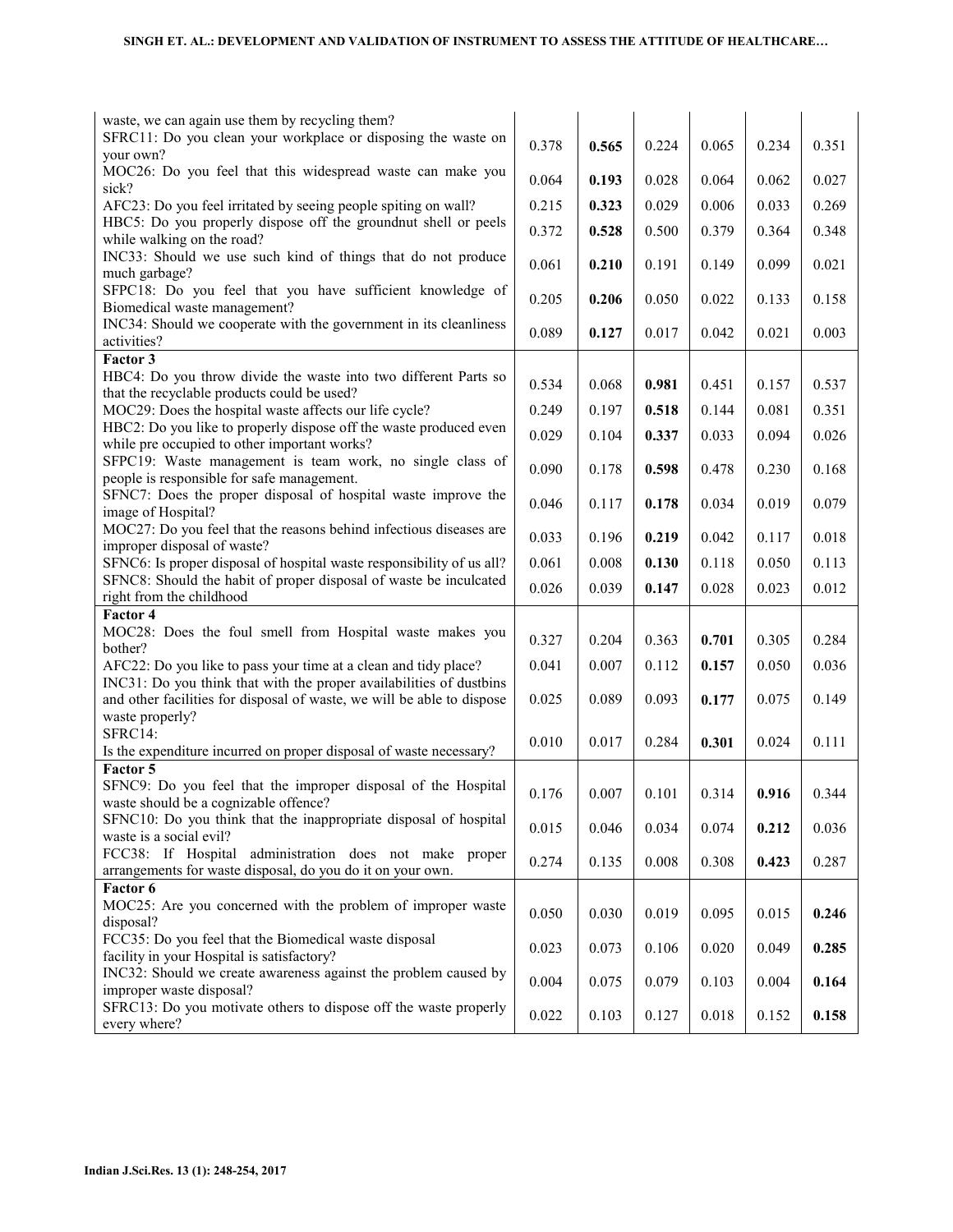| waste, we can again use them by recycling them?                        |       |       |       |       |       |       |
|------------------------------------------------------------------------|-------|-------|-------|-------|-------|-------|
| SFRC11: Do you clean your workplace or disposing the waste on          | 0.378 | 0.565 | 0.224 | 0.065 | 0.234 | 0.351 |
| your own?                                                              |       |       |       |       |       |       |
| MOC26: Do you feel that this widespread waste can make you             | 0.064 | 0.193 | 0.028 | 0.064 | 0.062 | 0.027 |
| sick?                                                                  |       |       |       |       |       |       |
| AFC23: Do you feel irritated by seeing people spiting on wall?         | 0.215 | 0.323 | 0.029 | 0.006 | 0.033 | 0.269 |
| HBC5: Do you properly dispose off the groundnut shell or peels         | 0.372 | 0.528 | 0.500 | 0.379 | 0.364 | 0.348 |
| while walking on the road?                                             |       |       |       |       |       |       |
| INC33: Should we use such kind of things that do not produce           | 0.061 | 0.210 | 0.191 | 0.149 | 0.099 | 0.021 |
| much garbage?                                                          |       |       |       |       |       |       |
| SFPC18: Do you feel that you have sufficient knowledge of              | 0.205 | 0.206 | 0.050 | 0.022 | 0.133 | 0.158 |
| Biomedical waste management?                                           |       |       |       |       |       |       |
| INC34: Should we cooperate with the government in its cleanliness      | 0.089 | 0.127 | 0.017 | 0.042 | 0.021 | 0.003 |
| activities?                                                            |       |       |       |       |       |       |
| Factor 3                                                               |       |       |       |       |       |       |
| HBC4: Do you throw divide the waste into two different Parts so        | 0.534 | 0.068 | 0.981 | 0.451 | 0.157 | 0.537 |
| that the recyclable products could be used?                            |       |       |       |       |       |       |
| MOC29: Does the hospital waste affects our life cycle?                 | 0.249 | 0.197 | 0.518 | 0.144 | 0.081 | 0.351 |
| HBC2: Do you like to properly dispose off the waste produced even      | 0.029 |       |       |       | 0.094 | 0.026 |
| while pre occupied to other important works?                           |       | 0.104 | 0.337 | 0.033 |       |       |
| SFPC19: Waste management is team work, no single class of              | 0.090 | 0.178 |       | 0.478 |       |       |
| people is responsible for safe management.                             |       |       | 0.598 |       | 0.230 | 0.168 |
| SFNC7: Does the proper disposal of hospital waste improve the          |       |       |       |       |       |       |
| image of Hospital?                                                     | 0.046 | 0.117 | 0.178 | 0.034 | 0.019 | 0.079 |
| MOC27: Do you feel that the reasons behind infectious diseases are     |       |       |       |       |       |       |
| improper disposal of waste?                                            | 0.033 | 0.196 | 0.219 | 0.042 | 0.117 | 0.018 |
| SFNC6: Is proper disposal of hospital waste responsibility of us all?  | 0.061 | 0.008 | 0.130 | 0.118 | 0.050 | 0.113 |
| SFNC8: Should the habit of proper disposal of waste be inculcated      |       |       |       |       |       |       |
| right from the childhood                                               | 0.026 | 0.039 | 0.147 | 0.028 | 0.023 | 0.012 |
| Factor 4                                                               |       |       |       |       |       |       |
| MOC28: Does the foul smell from Hospital waste makes you               |       |       |       |       |       |       |
| bother?                                                                | 0.327 | 0.204 | 0.363 | 0.701 | 0.305 | 0.284 |
| AFC22: Do you like to pass your time at a clean and tidy place?        | 0.041 | 0.007 | 0.112 | 0.157 | 0.050 | 0.036 |
| INC31: Do you think that with the proper availabilities of dustbins    |       |       |       |       |       |       |
| and other facilities for disposal of waste, we will be able to dispose | 0.025 | 0.089 | 0.093 | 0.177 | 0.075 | 0.149 |
| waste properly?                                                        |       |       |       |       |       |       |
| SFRC14:                                                                |       |       |       |       |       |       |
| Is the expenditure incurred on proper disposal of waste necessary?     | 0.010 | 0.017 | 0.284 | 0.301 | 0.024 | 0.111 |
| Factor 5                                                               |       |       |       |       |       |       |
| SFNC9: Do you feel that the improper disposal of the Hospital          |       |       |       |       |       |       |
| waste should be a cognizable offence?                                  | 0.176 | 0.007 | 0.101 | 0.314 | 0.916 | 0.344 |
| SFNC10: Do you think that the inappropriate disposal of hospital       |       |       |       |       |       |       |
| waste is a social evil?                                                | 0.015 | 0.046 | 0.034 | 0.074 | 0.212 | 0.036 |
| FCC38: If Hospital administration does not make proper                 |       |       |       |       |       |       |
| arrangements for waste disposal, do you do it on your own.             | 0.274 | 0.135 | 0.008 | 0.308 | 0.423 | 0.287 |
| Factor 6                                                               |       |       |       |       |       |       |
| MOC25: Are you concerned with the problem of improper waste            |       |       |       |       |       |       |
| disposal?                                                              | 0.050 | 0.030 | 0.019 | 0.095 | 0.015 | 0.246 |
| FCC35: Do you feel that the Biomedical waste disposal                  | 0.023 |       |       |       |       |       |
| facility in your Hospital is satisfactory?                             |       | 0.073 | 0.106 | 0.020 | 0.049 | 0.285 |
| INC32: Should we create awareness against the problem caused by        |       |       |       |       |       |       |
| improper waste disposal?                                               |       | 0.075 | 0.079 | 0.103 | 0.004 | 0.164 |
| SFRC13: Do you motivate others to dispose off the waste properly       | 0.022 |       |       |       |       |       |
| every where?                                                           |       | 0.103 | 0.127 | 0.018 | 0.152 | 0.158 |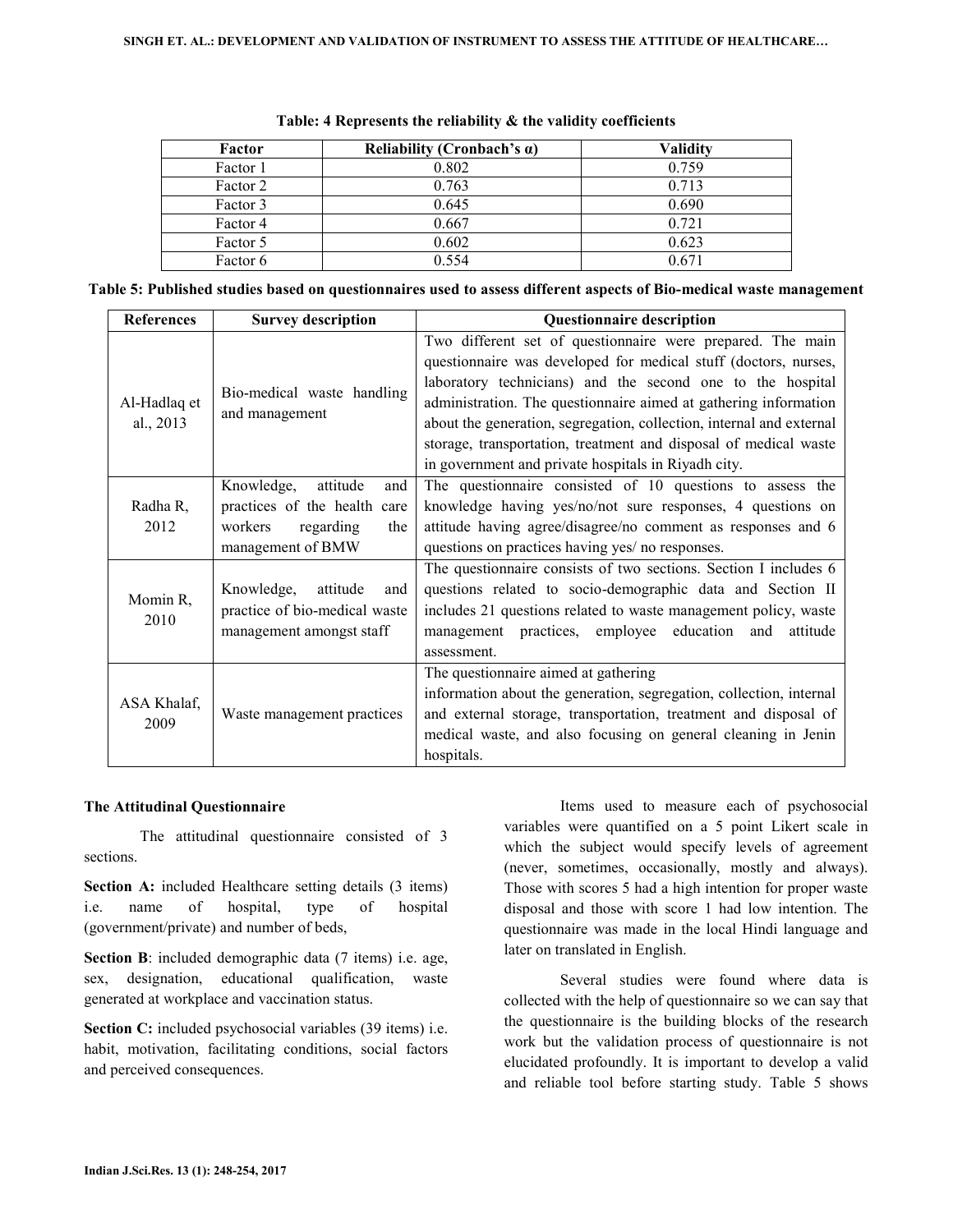| Factor   | Reliability (Cronbach's $\alpha$ ) | Validity |
|----------|------------------------------------|----------|
| Factor 1 | 0.802                              | 0.759    |
| Factor 2 | 0.763                              | 0.713    |
| Factor 3 | 0.645                              | 0.690    |
| Factor 4 | 0.667                              | 0.721    |
| Factor 5 | 0.602                              | 0.623    |
| Factor 6 | 0.554                              | 0.671    |

# **Table: 4 Represents the reliability & the validity coefficients**

| Table 5: Published studies based on questionnaires used to assess different aspects of Bio-medical waste management |  |  |  |
|---------------------------------------------------------------------------------------------------------------------|--|--|--|
|---------------------------------------------------------------------------------------------------------------------|--|--|--|

| <b>References</b>         | <b>Survey description</b>                                                                                         | <b>Questionnaire description</b>                                                                                                                                                                                                                                                                                                                                                                                                                                   |
|---------------------------|-------------------------------------------------------------------------------------------------------------------|--------------------------------------------------------------------------------------------------------------------------------------------------------------------------------------------------------------------------------------------------------------------------------------------------------------------------------------------------------------------------------------------------------------------------------------------------------------------|
| Al-Hadlaq et<br>al., 2013 | Bio-medical waste handling<br>and management                                                                      | Two different set of questionnaire were prepared. The main<br>questionnaire was developed for medical stuff (doctors, nurses,<br>laboratory technicians) and the second one to the hospital<br>administration. The questionnaire aimed at gathering information<br>about the generation, segregation, collection, internal and external<br>storage, transportation, treatment and disposal of medical waste<br>in government and private hospitals in Riyadh city. |
| Radha R,<br>2012          | Knowledge,<br>attitude<br>and<br>practices of the health care<br>regarding<br>workers<br>the<br>management of BMW | The questionnaire consisted of 10 questions to assess the<br>knowledge having yes/no/not sure responses, 4 questions on<br>attitude having agree/disagree/no comment as responses and 6<br>questions on practices having yes/ no responses.                                                                                                                                                                                                                        |
| Momin R,<br>2010          | Knowledge,<br>attitude<br>and<br>practice of bio-medical waste<br>management amongst staff                        | The questionnaire consists of two sections. Section I includes 6<br>questions related to socio-demographic data and Section II<br>includes 21 questions related to waste management policy, waste<br>management practices, employee education and<br>attitude<br>assessment.                                                                                                                                                                                       |
| ASA Khalaf,<br>2009       | Waste management practices                                                                                        | The questionnaire aimed at gathering<br>information about the generation, segregation, collection, internal<br>and external storage, transportation, treatment and disposal of<br>medical waste, and also focusing on general cleaning in Jenin<br>hospitals.                                                                                                                                                                                                      |

# **The Attitudinal Questionnaire**

 The attitudinal questionnaire consisted of 3 sections.

**Section A:** included Healthcare setting details (3 items) i.e. name of hospital, type of hospital (government/private) and number of beds,

**Section B**: included demographic data (7 items) i.e. age, sex, designation, educational qualification, waste generated at workplace and vaccination status.

**Section C:** included psychosocial variables (39 items) i.e. habit, motivation, facilitating conditions, social factors and perceived consequences.

 Items used to measure each of psychosocial variables were quantified on a 5 point Likert scale in which the subject would specify levels of agreement (never, sometimes, occasionally, mostly and always). Those with scores 5 had a high intention for proper waste disposal and those with score 1 had low intention. The questionnaire was made in the local Hindi language and later on translated in English.

 Several studies were found where data is collected with the help of questionnaire so we can say that the questionnaire is the building blocks of the research work but the validation process of questionnaire is not elucidated profoundly. It is important to develop a valid and reliable tool before starting study. Table 5 shows